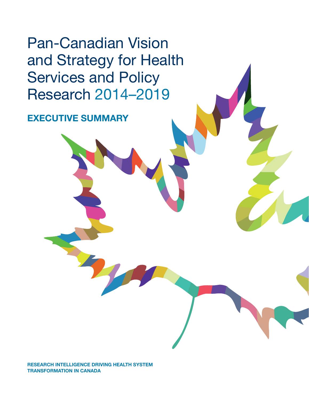Pan-Canadian Vision and Strategy for Health Services and Policy Research 2014–2019

**EXECUTIVE SUMMARY**

**RESEARCH INTELLIGENCE DRIVING HEALTH SYSTEM TRANSFORMATION IN CANADA**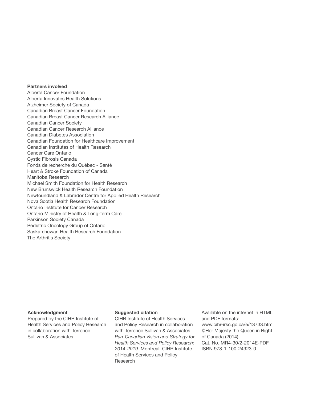#### **Partners involved**

Alberta Cancer Foundation Alberta Innovates Health Solutions Alzheimer Society of Canada Canadian Breast Cancer Foundation Canadian Breast Cancer Research Alliance Canadian Cancer Society Canadian Cancer Research Alliance Canadian Diabetes Association Canadian Foundation for Healthcare Improvement Canadian Institutes of Health Research Cancer Care Ontario Cystic Fibrosis Canada Fonds de recherche du Québec - Santé Heart & Stroke Foundation of Canada Manitoba Research Michael Smith Foundation for Health Research New Brunswick Health Research Foundation Newfoundland & Labrador Centre for Applied Health Research Nova Scotia Health Research Foundation Ontario Institute for Cancer Research Ontario Ministry of Health & Long-term Care Parkinson Society Canada Pediatric Oncology Group of Ontario Saskatchewan Health Research Foundation The Arthritis Society

#### **Acknowledgment**

Prepared by the CIHR Institute of Health Services and Policy Research in collaboration with Terrence Sullivan & Associates.

#### **Suggested citation**

CIHR Institute of Health Services and Policy Research in collaboration with Terrence Sullivan & Associates. *Pan-Canadian Vision and Strategy for Health Services and Policy Research: 2014-2019.* Montreal: CIHR Institute of Health Services and Policy Research

Available on the internet in HTML and PDF formats: www.cihr-irsc.gc.ca/e/13733.html ©Her Majesty the Queen in Right of Canada (2014) Cat. No. MR4-30/2-2014E-PDF ISBN 978-1-100-24923-0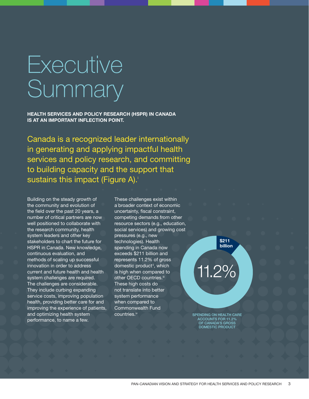# Executive **Summary**

**HEALTH SERVICES AND POLICY RESEARCH (HSPR) IN CANADA IS AT AN IMPORTANT INFLECTION POINT.**

Canada is a recognized leader internationally in generating and applying impactful health services and policy research, and committing to building capacity and the support that sustains this impact (Figure A).

Building on the steady growth of the community and evolution of the field over the past 20 years, a number of critical partners are now well positioned to collaborate with the research community, health system leaders and other key stakeholders to chart the future for HSPR in Canada. New knowledge, continuous evaluation, and methods of scaling up successful innovation in order to address current and future health and health system challenges are required. The challenges are considerable. They include curbing expanding service costs, improving population health, providing better care for and improving the experience of patients, and optimizing health system performance, to name a few.

These challenges exist within a broader context of economic uncertainty, fiscal constraint. competing demands from other resource sectors (e.g., education, social services) and growing cost pressures (e.g., new technologies). Health spending in Canada now exceeds \$211 billion and represents 11.2% of gross domestic product<sup>ii</sup>, which is high when compared to other OECD countries.<sup>iii</sup> These high costs do not translate into better system performance when compared to Commonwealth Fund countries.iv

11.2%

**\$211 billion**

**SPENDING ON HEALTH CARE ACCOUNTS FOR 11.2% OF CANADA'S GROSS DOMESTIC PRODUCT**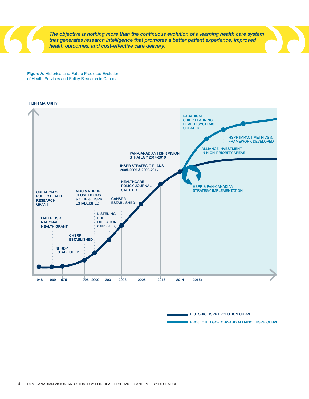*The objective is nothing more than the continuous evolution of a learning health care system that generates research intelligence that promotes a better patient experience, improved health outcomes, and cost-effective care delivery.* 

**Figure A.** Historical and Future Predicted Evolution of Health Services and Policy Research in Canada





**HISTORIC HSPR EVOLUTION CURVE**

**PROJECTED GO-FORWARD ALLIANCE HSPR CURVE**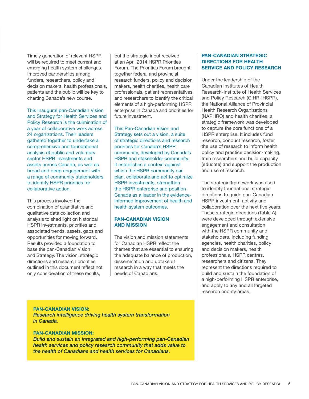Timely generation of relevant HSPR will be required to meet current and emerging health system challenges. Improved partnerships among funders, researchers, policy and decision makers, health professionals, patients and the public will be key to charting Canada's new course.

This inaugural pan-Canadian Vision and Strategy for Health Services and Policy Research is the culmination of a year of collaborative work across 24 organizations. Their leaders gathered together to undertake a comprehensive and foundational analysis of public and voluntary sector HSPR investments and assets across Canada, as well as broad and deep engagement with a range of community stakeholders to identify HSPR priorities for collaborative action.

This process involved the combination of quantitative and qualitative data collection and analysis to shed light on historical HSPR investments, priorities and associated trends, assets, gaps and opportunities for moving forward. Results provided a foundation to base the pan-Canadian Vision and Strategy. The vision, strategic directions and research priorities outlined in this document reflect not only consideration of these results,

but the strategic input received at an April 2014 HSPR Priorities Forum. The Priorities Forum brought together federal and provincial research funders, policy and decision makers, health charities, health care professionals, patient representatives, and researchers to identify the critical elements of a high-performing HSPR enterprise in Canada and priorities for future investment.

This Pan-Canadian Vision and Strategy sets out a vision, a suite of strategic directions and research priorities for Canada's HSPR community, developed by Canada's HSPR and stakeholder community. It establishes a context against which the HSPR community can plan, collaborate and act to optimize HSPR investments, strengthen the HSPR enterprise and position Canada as a leader in the evidenceinformed improvement of health and health system outcomes.

## **PAN-CANADIAN VISION AND MISSION**

The vision and mission statements for Canadian HSPR reflect the themes that are essential to ensuring the adequate balance of production, dissemination and uptake of research in a way that meets the needs of Canadians.

## **PAN-CANADIAN STRATEGIC DIRECTIONS FOR HEALTH SERVICE AND POLICY RESEARCH**

Under the leadership of the Canadian Institutes of Health Research-Institute of Health Services and Policy Research (CIHR-IHSPR), the National Alliance of Provincial Health Research Organizations (NAPHRO) and health charities, a strategic framework was developed to capture the core functions of a HSPR enterprise. It includes fund research, conduct research, foster the use of research to inform health policy and practice decision-making, train researchers and build capacity (educate) and support the production and use of research.

The strategic framework was used to identify foundational strategic directions to guide pan-Canadian HSPR investment, activity and collaboration over the next five years. These strategic directions (Table A) were developed through extensive engagement and consultation with the HSPR community and stakeholders, including funding agencies, health charities, policy and decision makers, health professionals, HSPR centres, researchers and citizens. They represent the directions required to build and sustain the foundation of a high-performing HSPR enterprise, and apply to any and all targeted research priority areas.

## **PAN-CANADIAN VISION:**

*Research intelligence driving health system transformation in Canada.*

# **PAN-CANADIAN MISSION:**

*Build and sustain an integrated and high-performing pan-Canadian health services and policy research community that adds value to the health of Canadians and health services for Canadians.*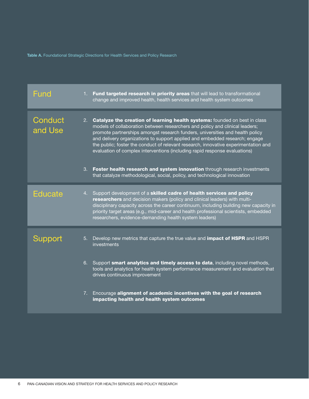**Table A.** Foundational Strategic Directions for Health Services and Policy Research

| Fund               | 1. Fund targeted research in priority areas that will lead to transformational<br>change and improved health, health services and health system outcomes                                                                                                                                                                                                                                                                                                                                           |  |
|--------------------|----------------------------------------------------------------------------------------------------------------------------------------------------------------------------------------------------------------------------------------------------------------------------------------------------------------------------------------------------------------------------------------------------------------------------------------------------------------------------------------------------|--|
| Conduct<br>and Use | 2. Catalyze the creation of learning health systems: founded on best in class<br>models of collaboration between researchers and policy and clinical leaders;<br>promote partnerships amongst research funders, universities and health policy<br>and delivery organizations to support applied and embedded research; engage<br>the public; foster the conduct of relevant research, innovative experimentation and<br>evaluation of complex interventions (including rapid response evaluations) |  |
|                    | 3. Foster health research and system innovation through research investments<br>that catalyze methodological, social, policy, and technological innovation                                                                                                                                                                                                                                                                                                                                         |  |
| <b>Educate</b>     | 4. Support development of a skilled cadre of health services and policy<br>researchers and decision makers (policy and clinical leaders) with multi-<br>disciplinary capacity across the career continuum, including building new capacity in<br>priority target areas (e.g., mid-career and health professional scientists, embedded<br>researchers, evidence-demanding health system leaders)                                                                                                    |  |
| Support            | Develop new metrics that capture the true value and <b>impact of HSPR</b> and HSPR<br>5.<br>investments                                                                                                                                                                                                                                                                                                                                                                                            |  |
|                    | 6. Support smart analytics and timely access to data, including novel methods,<br>tools and analytics for health system performance measurement and evaluation that<br>drives continuous improvement                                                                                                                                                                                                                                                                                               |  |
|                    | 7. Encourage alignment of academic incentives with the goal of research<br>impacting health and health system outcomes                                                                                                                                                                                                                                                                                                                                                                             |  |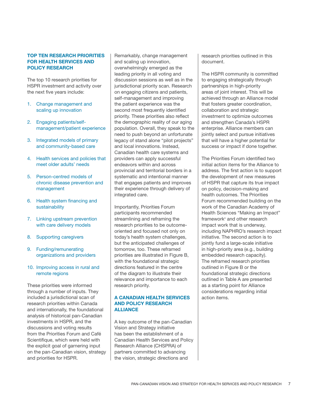## **TOP TEN RESEARCH PRIORITIES FOR HEALTH SERVICES AND POLICY RESEARCH**

The top 10 research priorities for HSPR investment and activity over the next five years include:

- 1. Change management and scaling up innovation
- 2. Engaging patients/selfmanagement/patient experience
- 3. Integrated models of primary and community-based care
- 4. Health services and policies that meet older adults' needs
- 5. Person-centred models of chronic disease prevention and management
- 6. Health system financing and sustainability
- 7. Linking upstream prevention with care delivery models
- 8. Supporting caregivers
- 9. Funding/remunerating organizations and providers

## 10. Improving access in rural and remote regions

These priorities were informed through a number of inputs. They included a jurisdictional scan of research priorities within Canada and internationally, the foundational analysis of historical pan-Canadian investments in HSPR, and the discussions and voting results from the Priorities Forum and Café Scientifique, which were held with the explicit goal of garnering input on the pan-Canadian vision, strategy and priorities for HSPR.

Remarkably, change management and scaling up innovation, overwhelmingly emerged as the leading priority in all voting and discussion sessions as well as in the jurisdictional priority scan. Research on engaging citizens and patients, self-management and improving the patient experience was the second most frequently identified priority. These priorities also reflect the demographic reality of our aging population. Overall, they speak to the need to push beyond an unfortunate legacy of stand alone "pilot projects" and local innovations. Instead, Canadian health care systems and providers can apply successful endeavors within and across provincial and territorial borders in a systematic and intentional manner that engages patients and improves their experience through delivery of integrated care.

Importantly, Priorities Forum participants recommended streamlining and reframing the research priorities to be outcomeoriented and focused not only on today's health system challenges, but the anticipated challenges of tomorrow, too. These reframed priorities are illustrated in Figure B, with the foundational strategic directions featured in the centre of the diagram to illustrate their relevance and importance to each research priority.

## **A CANADIAN HEALTH SERVICES AND POLICY RESEARCH ALLIANCE**

A key outcome of the pan-Canadian Vision and Strategy initiative has been the establishment of a Canadian Health Services and Policy Research Alliance (CHSPRA) of partners committed to advancing the vision, strategic directions and

research priorities outlined in this document.

The HSPR community is committed to engaging strategically through partnerships in high-priority areas of joint interest. This will be achieved through an Alliance model that fosters greater coordination, collaboration and strategic investment to optimize outcomes and strengthen Canada's HSPR enterprise. Alliance members can jointly select and pursue initiatives that will have a higher potential for success or impact if done together.

The Priorities Forum identified two initial action items for the Alliance to address. The first action is to support the development of new measures of HSPR that capture its true impact on policy, decision-making and health outcomes. The Priorities Forum recommended building on the work of the Canadian Academy of Health Sciences "Making an Impact" framework<sup>v</sup> and other research impact work that is underway, including NAPHRO's research impact initiative. The second action is to jointly fund a large-scale initiative in high-priority area (e.g., building embedded research capacity). The reframed research priorities outlined in Figure B or the foundational strategic directions outlined in Table A are presented as a starting point for Alliance considerations regarding initial action items.